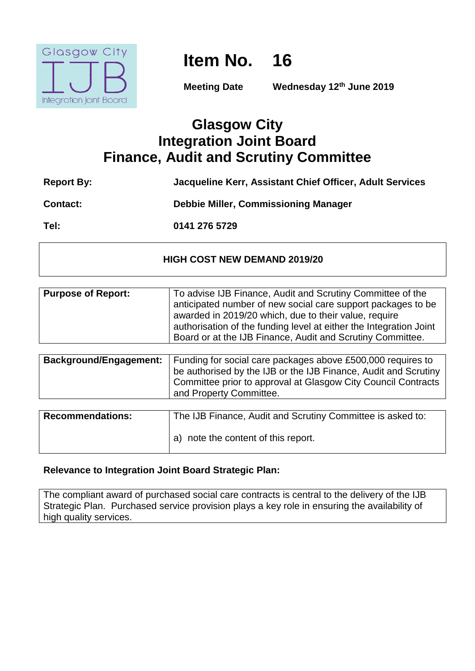

# **Item No. 16**

**Meeting Date Wednesday 12th June 2019**

# **Glasgow City Integration Joint Board Finance, Audit and Scrutiny Committee**

| <b>Report By:</b> | Jacqueline Kerr, Assistant Chief Officer, Adult Services |
|-------------------|----------------------------------------------------------|
| <b>Contact:</b>   | <b>Debbie Miller, Commissioning Manager</b>              |
| Tel:              | 0141 276 5729                                            |

# **HIGH COST NEW DEMAND 2019/20**

| <b>Purpose of Report:</b>     | To advise IJB Finance, Audit and Scrutiny Committee of the<br>anticipated number of new social care support packages to be<br>awarded in 2019/20 which, due to their value, require<br>authorisation of the funding level at either the Integration Joint<br>Board or at the IJB Finance, Audit and Scrutiny Committee. |
|-------------------------------|-------------------------------------------------------------------------------------------------------------------------------------------------------------------------------------------------------------------------------------------------------------------------------------------------------------------------|
|                               |                                                                                                                                                                                                                                                                                                                         |
| <b>Background/Engagement:</b> | Funding for social care packages above £500,000 requires to<br>be authorised by the IJB or the IJB Finance, Audit and Scrutiny<br>Committee prior to approval at Glasgow City Council Contracts<br>and Property Committee.                                                                                              |
|                               |                                                                                                                                                                                                                                                                                                                         |
| <b>Recommendations:</b>       | The IJB Finance, Audit and Scrutiny Committee is asked to:                                                                                                                                                                                                                                                              |
|                               | note the content of this report.<br>a)                                                                                                                                                                                                                                                                                  |

# **Relevance to Integration Joint Board Strategic Plan:**

The compliant award of purchased social care contracts is central to the delivery of the IJB Strategic Plan. Purchased service provision plays a key role in ensuring the availability of high quality services.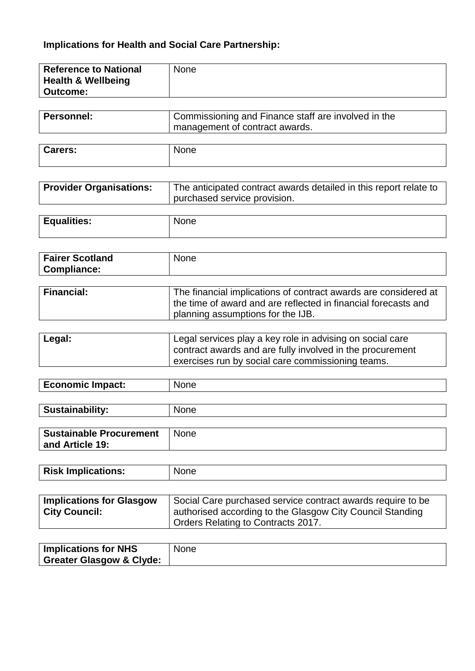# **Implications for Health and Social Care Partnership:**

| <b>Reference to National</b>  | None |
|-------------------------------|------|
| <b>Health &amp; Wellbeing</b> |      |
| <b>Outcome:</b>               |      |
|                               |      |

| Personnel: | Commissioning and Finance staff are involved in the |
|------------|-----------------------------------------------------|
|            | management of contract awards.                      |
|            |                                                     |
|            |                                                     |

| ╭<br>10. |  |
|----------|--|
|          |  |

| <b>Provider Organisations:</b> | The anticipated contract awards detailed in this report relate to |
|--------------------------------|-------------------------------------------------------------------|
|                                | purchased service provision.                                      |

| <b>Equalities:</b> | None |
|--------------------|------|
|                    |      |

| <b>Fairer Scotland</b> | <b>None</b> |
|------------------------|-------------|
| <b>Compliance:</b>     |             |
|                        |             |

| <b>Financial:</b> | The financial implications of contract awards are considered at |
|-------------------|-----------------------------------------------------------------|
|                   | the time of award and are reflected in financial forecasts and  |
|                   | planning assumptions for the IJB.                               |

| Legal: | Legal services play a key role in advising on social care |
|--------|-----------------------------------------------------------|
|        | contract awards and are fully involved in the procurement |
|        | exercises run by social care commissioning teams.         |

| Economic Impact: |  |
|------------------|--|
|                  |  |

| Sustainability:                | <b>None</b> |
|--------------------------------|-------------|
|                                |             |
| <b>Sustainable Procurement</b> | <b>None</b> |
| and Article 19:                |             |

| <b>Risk Implications:</b> |  |
|---------------------------|--|
|---------------------------|--|

| <b>Implications for Glasgow</b> | Social Care purchased service contract awards require to be |
|---------------------------------|-------------------------------------------------------------|
| <b>City Council:</b>            | authorised according to the Glasgow City Council Standing   |
|                                 | Orders Relating to Contracts 2017.                          |

| <b>Implications for NHS</b>         | None: |
|-------------------------------------|-------|
| <b>Greater Glasgow &amp; Clyde:</b> |       |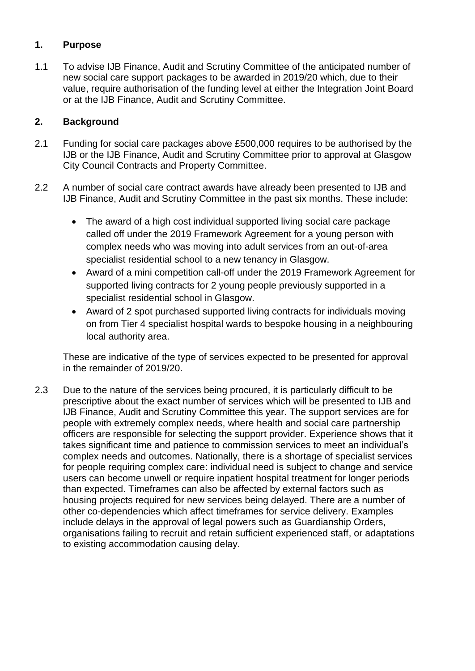# **1. Purpose**

1.1 To advise IJB Finance, Audit and Scrutiny Committee of the anticipated number of new social care support packages to be awarded in 2019/20 which, due to their value, require authorisation of the funding level at either the Integration Joint Board or at the IJB Finance, Audit and Scrutiny Committee.

# **2. Background**

- 2.1 Funding for social care packages above £500,000 requires to be authorised by the IJB or the IJB Finance, Audit and Scrutiny Committee prior to approval at Glasgow City Council Contracts and Property Committee.
- 2.2 A number of social care contract awards have already been presented to IJB and IJB Finance, Audit and Scrutiny Committee in the past six months. These include:
	- The award of a high cost individual supported living social care package called off under the 2019 Framework Agreement for a young person with complex needs who was moving into adult services from an out-of-area specialist residential school to a new tenancy in Glasgow.
	- Award of a mini competition call-off under the 2019 Framework Agreement for supported living contracts for 2 young people previously supported in a specialist residential school in Glasgow.
	- Award of 2 spot purchased supported living contracts for individuals moving on from Tier 4 specialist hospital wards to bespoke housing in a neighbouring local authority area.

These are indicative of the type of services expected to be presented for approval in the remainder of 2019/20.

2.3 Due to the nature of the services being procured, it is particularly difficult to be prescriptive about the exact number of services which will be presented to IJB and IJB Finance, Audit and Scrutiny Committee this year. The support services are for people with extremely complex needs, where health and social care partnership officers are responsible for selecting the support provider. Experience shows that it takes significant time and patience to commission services to meet an individual's complex needs and outcomes. Nationally, there is a shortage of specialist services for people requiring complex care: individual need is subject to change and service users can become unwell or require inpatient hospital treatment for longer periods than expected. Timeframes can also be affected by external factors such as housing projects required for new services being delayed. There are a number of other co-dependencies which affect timeframes for service delivery. Examples include delays in the approval of legal powers such as Guardianship Orders, organisations failing to recruit and retain sufficient experienced staff, or adaptations to existing accommodation causing delay.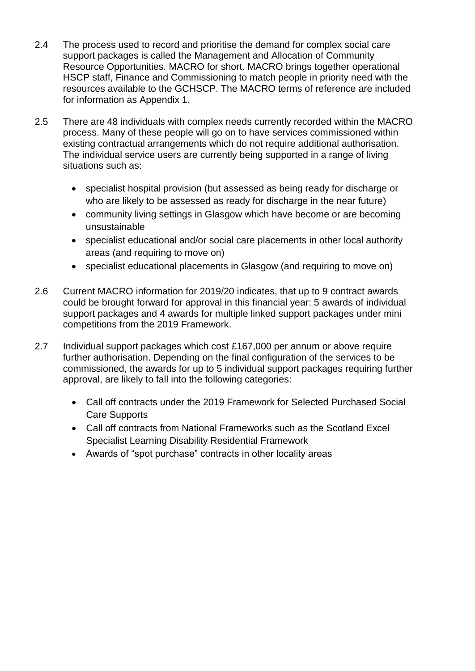- 2.4 The process used to record and prioritise the demand for complex social care support packages is called the Management and Allocation of Community Resource Opportunities. MACRO for short. MACRO brings together operational HSCP staff, Finance and Commissioning to match people in priority need with the resources available to the GCHSCP. The MACRO terms of reference are included for information as Appendix 1.
- 2.5 There are 48 individuals with complex needs currently recorded within the MACRO process. Many of these people will go on to have services commissioned within existing contractual arrangements which do not require additional authorisation. The individual service users are currently being supported in a range of living situations such as:
	- specialist hospital provision (but assessed as being ready for discharge or who are likely to be assessed as ready for discharge in the near future)
	- community living settings in Glasgow which have become or are becoming unsustainable
	- specialist educational and/or social care placements in other local authority areas (and requiring to move on)
	- specialist educational placements in Glasgow (and requiring to move on)
- 2.6 Current MACRO information for 2019/20 indicates, that up to 9 contract awards could be brought forward for approval in this financial year: 5 awards of individual support packages and 4 awards for multiple linked support packages under mini competitions from the 2019 Framework.
- 2.7 Individual support packages which cost £167,000 per annum or above require further authorisation. Depending on the final configuration of the services to be commissioned, the awards for up to 5 individual support packages requiring further approval, are likely to fall into the following categories:
	- Call off contracts under the 2019 Framework for Selected Purchased Social Care Supports
	- Call off contracts from National Frameworks such as the Scotland Excel Specialist Learning Disability Residential Framework
	- Awards of "spot purchase" contracts in other locality areas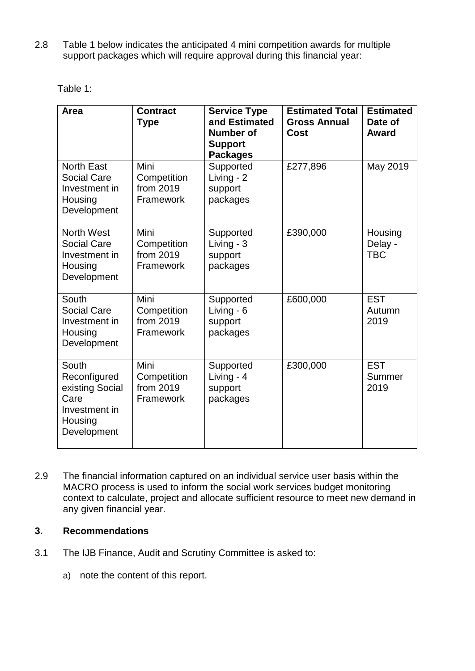2.8 Table 1 below indicates the anticipated 4 mini competition awards for multiple support packages which will require approval during this financial year:

| Table 1 |  |
|---------|--|

| Area                                                                                        | <b>Contract</b><br><b>Type</b>                | <b>Service Type</b><br>and Estimated<br><b>Number of</b><br><b>Support</b><br><b>Packages</b> | <b>Estimated Total</b><br><b>Gross Annual</b><br>Cost | <b>Estimated</b><br>Date of<br><b>Award</b> |
|---------------------------------------------------------------------------------------------|-----------------------------------------------|-----------------------------------------------------------------------------------------------|-------------------------------------------------------|---------------------------------------------|
| <b>North East</b><br><b>Social Care</b><br>Investment in<br>Housing<br>Development          | Mini<br>Competition<br>from 2019<br>Framework | Supported<br>Living - 2<br>support<br>packages                                                | £277,896                                              | May 2019                                    |
| North West<br><b>Social Care</b><br>Investment in<br>Housing<br>Development                 | Mini<br>Competition<br>from 2019<br>Framework | Supported<br>Living - 3<br>support<br>packages                                                | £390,000                                              | Housing<br>Delay -<br><b>TBC</b>            |
| South<br><b>Social Care</b><br>Investment in<br>Housing<br>Development                      | Mini<br>Competition<br>from 2019<br>Framework | Supported<br>Living - 6<br>support<br>packages                                                | £600,000                                              | <b>EST</b><br>Autumn<br>2019                |
| South<br>Reconfigured<br>existing Social<br>Care<br>Investment in<br>Housing<br>Development | Mini<br>Competition<br>from 2019<br>Framework | Supported<br>Living - 4<br>support<br>packages                                                | £300,000                                              | <b>EST</b><br>Summer<br>2019                |

2.9 The financial information captured on an individual service user basis within the MACRO process is used to inform the social work services budget monitoring context to calculate, project and allocate sufficient resource to meet new demand in any given financial year.

# **3. Recommendations**

- 3.1 The IJB Finance, Audit and Scrutiny Committee is asked to:
	- a) note the content of this report.